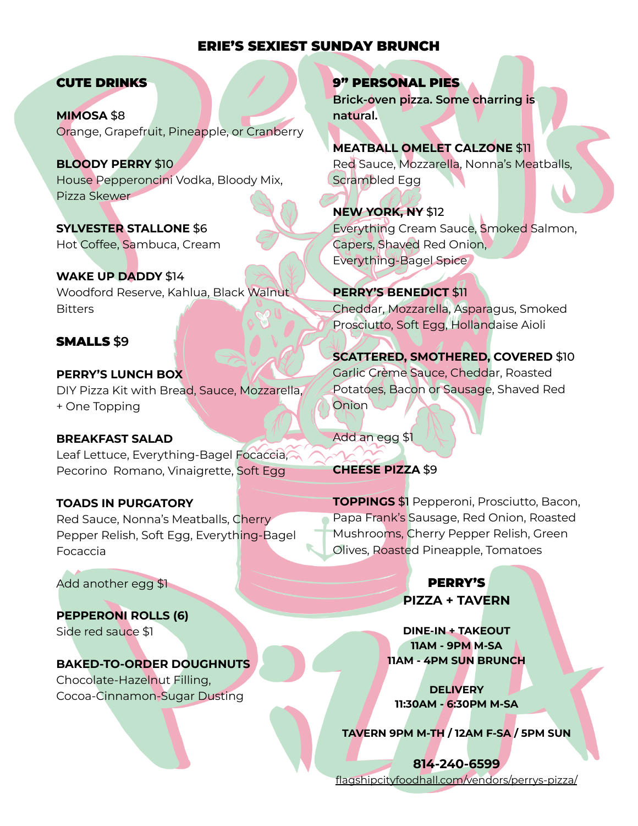### ERIE'S SEXIEST SUNDAY BRUNCH

#### CUTE DRINKS

**MIMOSA** \$8 Orange, Grapefruit, Pineapple, or Cranberry

**BLOODY PERRY** \$10 House Pepperoncini Vodka, Bloody Mix, Pizza Skewer

**SYLVESTER STALLONE** \$6 Hot Coffee, Sambuca, Cream

**WAKE UP DADDY** \$14 Woodford Reserve, Kahlua, Black Walnut **Bitters** 

### SMALLS **\$9**

**PERRY'S LUNCH BOX** DIY Pizza Kit with Bread, Sauce, Mozzarella, + One Topping

### **BREAKFAST SALAD**

Leaf Lettuce, Everything-Bagel Focaccia, Pecorino Romano, Vinaigrette, Soft Egg

#### **TOADS IN PURGATORY**

Red Sauce, Nonna's Meatballs, Cherry Pepper Relish, Soft Egg, Everything-Bagel Focaccia

Add another egg \$1

**PEPPERONI ROLLS (6)** Side red sauce \$1

# **BAKED-TO-ORDER DOUGHNUTS**

Chocolate-Hazelnut Filling, Cocoa-Cinnamon-Sugar Dusting

### 9" PERSONAL PIES

**Brick-oven pizza. Some charring is natural.**

### **MEATBALL OMELET CALZONE** \$11

Red Sauce, Mozzarella, Nonna's Meatballs, Scrambled Egg

**NEW YORK, NY** \$12 Everything Cream Sauce, Smoked Salmon, Capers, Shaved Red Onion, Everything-Bagel Spice

### **PERRY'S BENEDICT** \$11

Cheddar, Mozzarella, Asparagus, Smoked Prosciutto, Soft Egg, Hollandaise Aioli

**SCATTERED, SMOTHERED, COVERED** \$10 Garlic Crème Sauce, Cheddar, Roasted Potatoes, Bacon or Sausage, Shaved Red Onion

Add an egg \$1

#### **CHEESE PIZZA** \$9

**TOPPINGS** \$1 Pepperoni, Prosciutto, Bacon, Papa Frank's Sausage, Red Onion, Roasted Mushrooms, Cherry Pepper Relish, Green Olives, Roasted Pineapple, Tomatoes

## PERRY'S **PIZZA + TAVERN**

**DINE-IN + TAKEOUT 11AM - 9PM M-SA 11AM - 4PM SUN BRUNCH**

**DELIVERY 11:30AM - 6:30PM M-SA**

**TAVERN 9PM M-TH / 12AM F-SA / 5PM SUN**

**814-240-6599** [flagshipcityfoodhall.com/vendors/perrys-pizza/](https://www.toasttab.com/flagship-city-food-hall-perrys-tavern/v3/?mode=fulfillment)